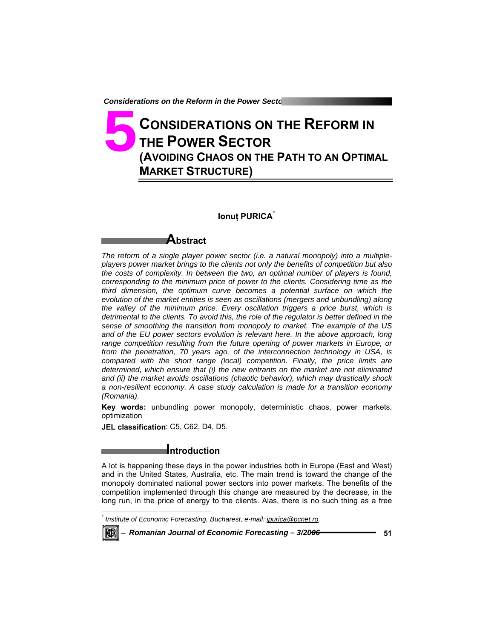# **CONSIDERATIONS ON THE REFORM IN THE POWER SECTOR (AVOIDING CHAOS ON THE PATH TO AN OPTIMAL MARKET STRUCTURE) 5**

## **Ionuţ PURICA**\*

## **Abstract**

*The reform of a single player power sector (i.e. a natural monopoly) into a multipleplayers power market brings to the clients not only the benefits of competition but also the costs of complexity. In between the two, an optimal number of players is found, corresponding to the minimum price of power to the clients. Considering time as the third dimension, the optimum curve becomes a potential surface on which the evolution of the market entities is seen as oscillations (mergers and unbundling) along the valley of the minimum price. Every oscillation triggers a price burst, which is detrimental to the clients. To avoid this, the role of the regulator is better defined in the sense of smoothing the transition from monopoly to market. The example of the US*  and of the EU power sectors evolution is relevant here. In the above approach, long *range competition resulting from the future opening of power markets in Europe, or from the penetration, 70 years ago, of the interconnection technology in USA, is compared with the short range (local) competition. Finally, the price limits are determined, which ensure that (i) the new entrants on the market are not eliminated and (ii) the market avoids oscillations (chaotic behavior), which may drastically shock a non-resilient economy. A case study calculation is made for a transition economy (Romania).* 

**Key words:** unbundling power monopoly, deterministic chaos, power markets, optimization

**JEL classification**: C5, C62, D4, D5.

## **Introduction**

A lot is happening these days in the power industries both in Europe (East and West) and in the United States, Australia, etc. The main trend is toward the change of the monopoly dominated national power sectors into power markets. The benefits of the competition implemented through this change are measured by the decrease, in the long run, in the price of energy to the clients. Alas, there is no such thing as a free

 *Institute of Economic Forecasting, Bucharest, e-mail: ipurica@pcnet.ro.* 



l *\**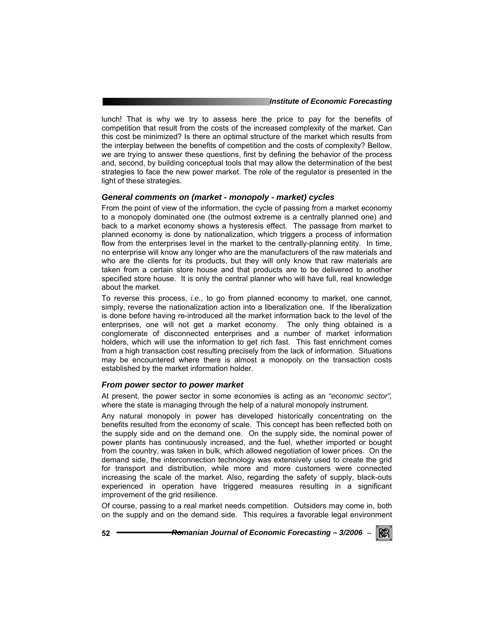lunch! That is why we try to assess here the price to pay for the benefits of competition that result from the costs of the increased complexity of the market. Can this cost be minimized? Is there an optimal structure of the market which results from the interplay between the benefits of competition and the costs of complexity? Bellow, we are trying to answer these questions, first by defining the behavior of the process and, second, by building conceptual tools that may allow the determination of the best strategies to face the new power market. The role of the regulator is presented in the light of these strategies.

#### *General comments on (market - monopoly - market) cycles*

From the point of view of the information, the cycle of passing from a market economy to a monopoly dominated one (the outmost extreme is a centrally planned one) and back to a market economy shows a hysteresis effect. The passage from market to planned economy is done by nationalization, which triggers a process of information flow from the enterprises level in the market to the centrally-planning entity. In time, no enterprise will know any longer who are the manufacturers of the raw materials and who are the clients for its products, but they will only know that raw materials are taken from a certain store house and that products are to be delivered to another specified store house. It is only the central planner who will have full, real knowledge about the market.

To reverse this process, *i.e.*, to go from planned economy to market, one cannot, simply, reverse the nationalization action into a liberalization one. If the liberalization is done before having re-introduced all the market information back to the level of the enterprises, one will not get a market economy. The only thing obtained is a conglomerate of disconnected enterprises and a number of market information holders, which will use the information to get rich fast. This fast enrichment comes from a high transaction cost resulting precisely from the lack of information. Situations may be encountered where there is almost a monopoly on the transaction costs established by the market information holder.

## *From power sector to power market*

At present, the power sector in some economies is acting as an *"economic sector",*  where the state is managing through the help of a natural monopoly instrument.

Any natural monopoly in power has developed historically concentrating on the benefits resulted from the economy of scale. This concept has been reflected both on the supply side and on the demand one. On the supply side, the nominal power of power plants has continuously increased, and the fuel, whether imported or bought from the country, was taken in bulk, which allowed negotiation of lower prices. On the demand side, the interconnection technology was extensively used to create the grid for transport and distribution, while more and more customers were connected increasing the scale of the market. Also, regarding the safety of supply, black-outs experienced in operation have triggered measures resulting in a significant improvement of the grid resilience.

Of course, passing to a real market needs competition. Outsiders may come in, both on the supply and on the demand side. This requires a favorable legal environment

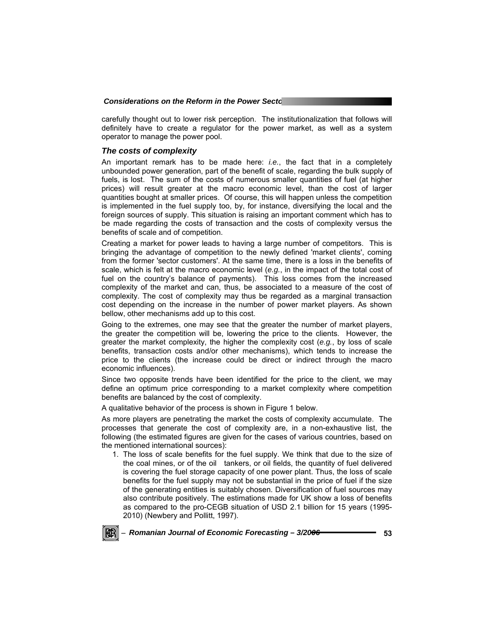carefully thought out to lower risk perception. The institutionalization that follows will definitely have to create a regulator for the power market, as well as a system operator to manage the power pool.

### *The costs of complexity*

An important remark has to be made here: *i.e.*, the fact that in a completely unbounded power generation, part of the benefit of scale, regarding the bulk supply of fuels, is lost. The sum of the costs of numerous smaller quantities of fuel (at higher prices) will result greater at the macro economic level, than the cost of larger quantities bought at smaller prices. Of course, this will happen unless the competition is implemented in the fuel supply too, by, for instance, diversifying the local and the foreign sources of supply. This situation is raising an important comment which has to be made regarding the costs of transaction and the costs of complexity versus the benefits of scale and of competition.

Creating a market for power leads to having a large number of competitors. This is bringing the advantage of competition to the newly defined 'market clients', coming from the former 'sector customers'. At the same time, there is a loss in the benefits of scale, which is felt at the macro economic level (*e.g.*, in the impact of the total cost of fuel on the country's balance of payments). This loss comes from the increased complexity of the market and can, thus, be associated to a measure of the cost of complexity. The cost of complexity may thus be regarded as a marginal transaction cost depending on the increase in the number of power market players. As shown bellow, other mechanisms add up to this cost.

Going to the extremes, one may see that the greater the number of market players, the greater the competition will be, lowering the price to the clients. However, the greater the market complexity, the higher the complexity cost (*e.g.*, by loss of scale benefits, transaction costs and/or other mechanisms), which tends to increase the price to the clients (the increase could be direct or indirect through the macro economic influences).

Since two opposite trends have been identified for the price to the client, we may define an optimum price corresponding to a market complexity where competition benefits are balanced by the cost of complexity.

A qualitative behavior of the process is shown in Figure 1 below.

As more players are penetrating the market the costs of complexity accumulate. The processes that generate the cost of complexity are, in a non-exhaustive list, the following (the estimated figures are given for the cases of various countries, based on the mentioned international sources):

1. The loss of scale benefits for the fuel supply. We think that due to the size of the coal mines, or of the oil tankers, or oil fields, the quantity of fuel delivered is covering the fuel storage capacity of one power plant. Thus, the loss of scale benefits for the fuel supply may not be substantial in the price of fuel if the size of the generating entities is suitably chosen. Diversification of fuel sources may also contribute positively. The estimations made for UK show a loss of benefits as compared to the pro-CEGB situation of USD 2.1 billion for 15 years (1995- 2010) (Newbery and Pollitt, 1997).

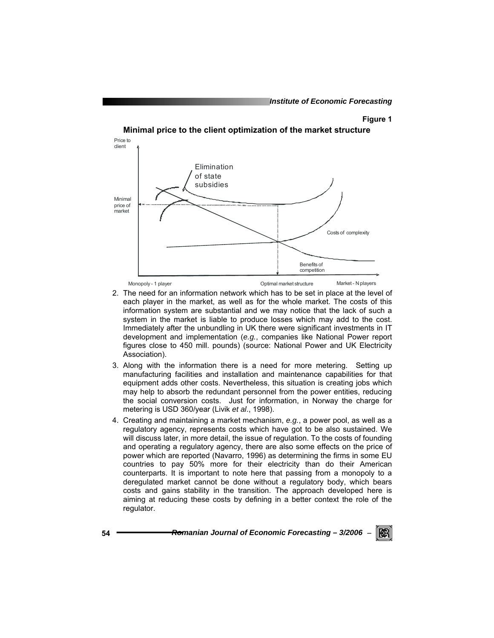### **Figure 1**

**Minimal price to the client optimization of the market structure** 



- 2. The need for an information network which has to be set in place at the level of each player in the market, as well as for the whole market. The costs of this information system are substantial and we may notice that the lack of such a system in the market is liable to produce losses which may add to the cost. Immediately after the unbundling in UK there were significant investments in IT development and implementation (*e.g.*, companies like National Power report figures close to 450 mill. pounds) (source: National Power and UK Electricity Association).
- 3. Along with the information there is a need for more metering. Setting up manufacturing facilities and installation and maintenance capabilities for that equipment adds other costs. Nevertheless, this situation is creating jobs which may help to absorb the redundant personnel from the power entities, reducing the social conversion costs. Just for information, in Norway the charge for metering is USD 360/year (Livik *et al*., 1998).
- 4. Creating and maintaining a market mechanism, *e.g.*, a power pool, as well as a regulatory agency, represents costs which have got to be also sustained. We will discuss later, in more detail, the issue of regulation. To the costs of founding and operating a regulatory agency, there are also some effects on the price of power which are reported (Navarro, 1996) as determining the firms in some EU countries to pay 50% more for their electricity than do their American counterparts. It is important to note here that passing from a monopoly to a deregulated market cannot be done without a regulatory body, which bears costs and gains stability in the transition. The approach developed here is aiming at reducing these costs by defining in a better context the role of the regulator.

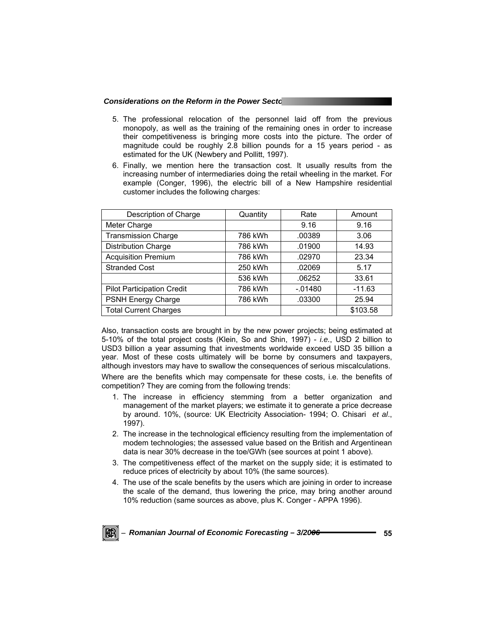### **Considerations on the Reform in the Power Sector of Article 1.**

- 5. The professional relocation of the personnel laid off from the previous monopoly, as well as the training of the remaining ones in order to increase their competitiveness is bringing more costs into the picture. The order of magnitude could be roughly 2.8 billion pounds for a 15 years period - as estimated for the UK (Newbery and Pollitt, 1997).
- 6. Finally, we mention here the transaction cost. It usually results from the increasing number of intermediaries doing the retail wheeling in the market. For example (Conger, 1996), the electric bill of a New Hampshire residential customer includes the following charges:

| Description of Charge             | Quantity | Rate       | Amount   |
|-----------------------------------|----------|------------|----------|
| Meter Charge                      |          | 9.16       | 9.16     |
| <b>Transmission Charge</b>        | 786 kWh  | .00389     | 3.06     |
| <b>Distribution Charge</b>        | 786 kWh  | .01900     | 14.93    |
| <b>Acquisition Premium</b>        | 786 kWh  | .02970     | 23.34    |
| <b>Stranded Cost</b>              | 250 kWh  | .02069     | 5.17     |
|                                   | 536 kWh  | .06252     | 33.61    |
| <b>Pilot Participation Credit</b> | 786 kWh  | $-0.01480$ | $-11.63$ |
| PSNH Energy Charge                | 786 kWh  | .03300     | 25.94    |
| <b>Total Current Charges</b>      |          |            | \$103.58 |

Also, transaction costs are brought in by the new power projects; being estimated at 5-10% of the total project costs (Klein, So and Shin, 1997) - *i.e.*, USD 2 billion to USD3 billion a year assuming that investments worldwide exceed USD 35 billion a year. Most of these costs ultimately will be borne by consumers and taxpayers, although investors may have to swallow the consequences of serious miscalculations.

Where are the benefits which may compensate for these costs, i.e. the benefits of competition? They are coming from the following trends:

- 1. The increase in efficiency stemming from a better organization and management of the market players; we estimate it to generate a price decrease by around. 10%, (source: UK Electricity Association- 1994; O. Chisari *et al*., 1997).
- 2. The increase in the technological efficiency resulting from the implementation of modem technologies; the assessed value based on the British and Argentinean data is near 30% decrease in the toe/GWh (see sources at point 1 above).
- 3. The competitiveness effect of the market on the supply side; it is estimated to reduce prices of electricity by about 10% (the same sources).
- 4. The use of the scale benefits by the users which are joining in order to increase the scale of the demand, thus lowering the price, may bring another around 10% reduction (same sources as above, plus K. Conger - APPA 1996).

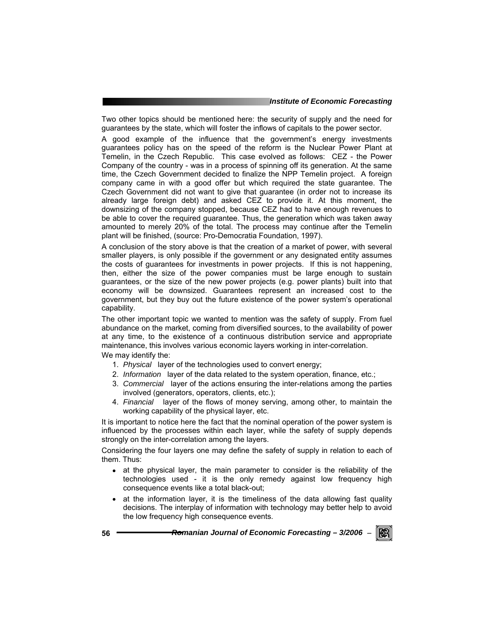Two other topics should be mentioned here: the security of supply and the need for guarantees by the state, which will foster the inflows of capitals to the power sector.

A good example of the influence that the government's energy investments guarantees policy has on the speed of the reform is the Nuclear Power Plant at Temelin, in the Czech Republic. This case evolved as follows: CEZ - the Power Company of the country - was in a process of spinning off its generation. At the same time, the Czech Government decided to finalize the NPP Temelin project. A foreign company came in with a good offer but which required the state guarantee. The Czech Government did not want to give that guarantee (in order not to increase its already large foreign debt) and asked CEZ to provide it. At this moment, the downsizing of the company stopped, because CEZ had to have enough revenues to be able to cover the required guarantee. Thus, the generation which was taken away amounted to merely 20% of the total. The process may continue after the Temelin plant will be finished, (source: Pro-Democratia Foundation, 1997).

A conclusion of the story above is that the creation of a market of power, with several smaller players, is only possible if the government or any designated entity assumes the costs of guarantees for investments in power projects. If this is not happening, then, either the size of the power companies must be large enough to sustain guarantees, or the size of the new power projects (e.g. power plants) built into that economy will be downsized. Guarantees represent an increased cost to the government, but they buy out the future existence of the power system's operational capability.

The other important topic we wanted to mention was the safety of supply. From fuel abundance on the market, coming from diversified sources, to the availability of power at any time, to the existence of a continuous distribution service and appropriate maintenance, this involves various economic layers working in inter-correlation. We may identify the:

- 1. *Physical* layer of the technologies used to convert energy;
- 2. *Information* layer of the data related to the system operation, finance, etc.;
- 3. *Commercial* layer of the actions ensuring the inter-relations among the parties involved (generators, operators, clients, etc.);
- 4. *Financial* layer of the flows of money serving, among other, to maintain the working capability of the physical layer, etc.

It is important to notice here the fact that the nominal operation of the power system is influenced by the processes within each layer, while the safety of supply depends strongly on the inter-correlation among the layers.

Considering the four layers one may define the safety of supply in relation to each of them. Thus:

- at the physical layer, the main parameter to consider is the reliability of the technologies used - it is the only remedy against low frequency high consequence events like a total black-out;
- at the information layer, it is the timeliness of the data allowing fast quality decisions. The interplay of information with technology may better help to avoid the low frequency high consequence events.

KB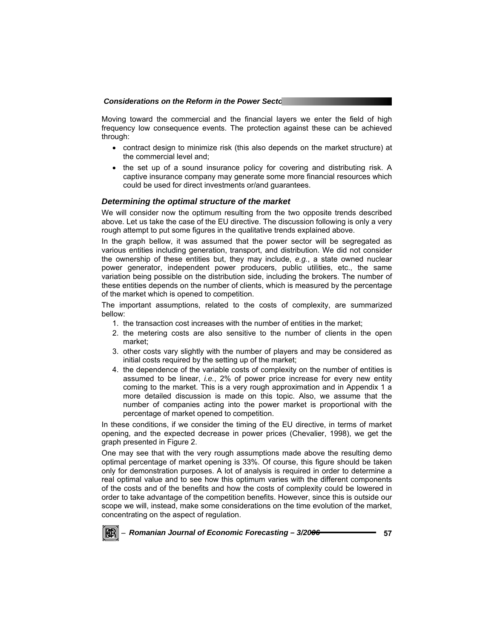#### **Considerations on the Reform in the Power Sector of Article 1.**

Moving toward the commercial and the financial layers we enter the field of high frequency low consequence events. The protection against these can be achieved through:

- contract design to minimize risk (this also depends on the market structure) at the commercial level and;
- the set up of a sound insurance policy for covering and distributing risk. A captive insurance company may generate some more financial resources which could be used for direct investments or/and guarantees.

### *Determining the optimal structure of the market*

We will consider now the optimum resulting from the two opposite trends described above. Let us take the case of the EU directive. The discussion following is only a very rough attempt to put some figures in the qualitative trends explained above.

In the graph bellow, it was assumed that the power sector will be segregated as various entities including generation, transport, and distribution. We did not consider the ownership of these entities but, they may include, *e.g.*, a state owned nuclear power generator, independent power producers, public utilities, etc., the same variation being possible on the distribution side, including the brokers. The number of these entities depends on the number of clients, which is measured by the percentage of the market which is opened to competition.

The important assumptions, related to the costs of complexity, are summarized bellow:

- 1. the transaction cost increases with the number of entities in the market;
- 2. the metering costs are also sensitive to the number of clients in the open market;
- 3. other costs vary slightly with the number of players and may be considered as initial costs required by the setting up of the market;
- 4. the dependence of the variable costs of complexity on the number of entities is assumed to be linear, *i.e.*, 2% of power price increase for every new entity coming to the market. This is a very rough approximation and in Appendix 1 a more detailed discussion is made on this topic. Also, we assume that the number of companies acting into the power market is proportional with the percentage of market opened to competition.

In these conditions, if we consider the timing of the EU directive, in terms of market opening, and the expected decrease in power prices (Chevalier, 1998), we get the graph presented in Figure 2.

One may see that with the very rough assumptions made above the resulting demo optimal percentage of market opening is 33%. Of course, this figure should be taken only for demonstration purposes. A lot of analysis is required in order to determine a real optimal value and to see how this optimum varies with the different components of the costs and of the benefits and how the costs of complexity could be lowered in order to take advantage of the competition benefits. However, since this is outside our scope we will, instead, make some considerations on the time evolution of the market, concentrating on the aspect of regulation.

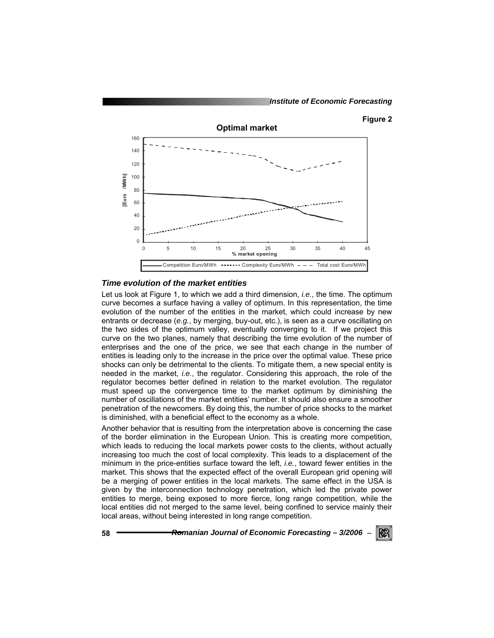

#### *Time evolution of the market entities*

Let us look at Figure 1, to which we add a third dimension, *i.e.*, the time. The optimum curve becomes a surface having a valley of optimum. In this representation, the time evolution of the number of the entities in the market, which could increase by new entrants or decrease (*e.g.*, by merging, buy-out, etc.), is seen as a curve oscillating on the two sides of the optimum valley, eventually converging to it. If we project this curve on the two planes, namely that describing the time evolution of the number of enterprises and the one of the price, we see that each change in the number of entities is leading only to the increase in the price over the optimal value. These price shocks can only be detrimental to the clients. To mitigate them, a new special entity is needed in the market, *i.e.*, the regulator. Considering this approach, the role of the regulator becomes better defined in relation to the market evolution. The regulator must speed up the convergence time to the market optimum by diminishing the number of oscillations of the market entities' number. It should also ensure a smoother penetration of the newcomers. By doing this, the number of price shocks to the market is diminished, with a beneficial effect to the economy as a whole.

Another behavior that is resulting from the interpretation above is concerning the case of the border elimination in the European Union. This is creating more competition, which leads to reducing the local markets power costs to the clients, without actually increasing too much the cost of local complexity. This leads to a displacement of the minimum in the price-entities surface toward the left, *i.e.*, toward fewer entities in the market. This shows that the expected effect of the overall European grid opening will be a merging of power entities in the local markets. The same effect in the USA is given by the interconnection technology penetration, which led the private power entities to merge, being exposed to more fierce, long range competition, while the local entities did not merged to the same level, being confined to service mainly their local areas, without being interested in long range competition.

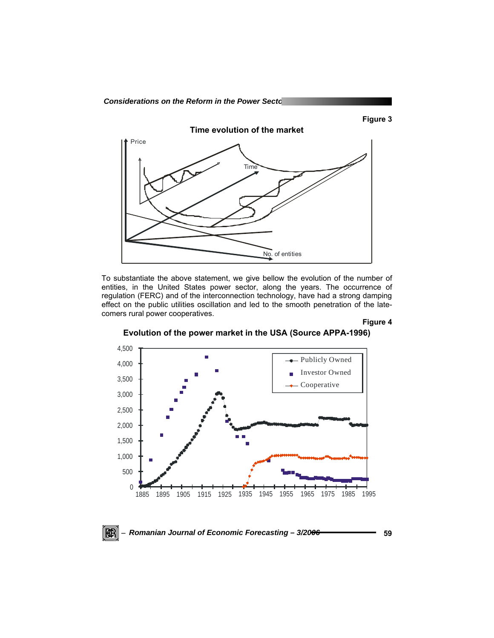

To substantiate the above statement, we give bellow the evolution of the number of entities, in the United States power sector, along the years. The occurrence of regulation (FERC) and of the interconnection technology, have had a strong damping effect on the public utilities oscillation and led to the smooth penetration of the latecomers rural power cooperatives.

## **Figure 4**



**Evolution of the power market in the USA (Source APPA-1996)** 

 $\mathbb{R}$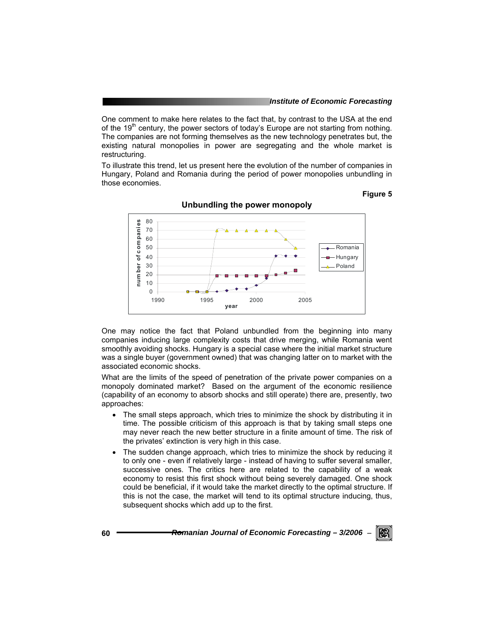One comment to make here relates to the fact that, by contrast to the USA at the end of the  $19<sup>th</sup>$  century, the power sectors of today's Europe are not starting from nothing. The companies are not forming themselves as the new technology penetrates but, the existing natural monopolies in power are segregating and the whole market is restructuring.

To illustrate this trend, let us present here the evolution of the number of companies in Hungary, Poland and Romania during the period of power monopolies unbundling in those economies.

### **Figure 5**



#### **Unbundling the power monopoly**

One may notice the fact that Poland unbundled from the beginning into many companies inducing large complexity costs that drive merging, while Romania went smoothly avoiding shocks. Hungary is a special case where the initial market structure was a single buyer (government owned) that was changing latter on to market with the associated economic shocks.

What are the limits of the speed of penetration of the private power companies on a monopoly dominated market? Based on the argument of the economic resilience (capability of an economy to absorb shocks and still operate) there are, presently, two approaches:

- The small steps approach, which tries to minimize the shock by distributing it in time. The possible criticism of this approach is that by taking small steps one may never reach the new better structure in a finite amount of time. The risk of the privates' extinction is very high in this case.
- The sudden change approach, which tries to minimize the shock by reducing it to only one - even if relatively large - instead of having to suffer several smaller, successive ones. The critics here are related to the capability of a weak economy to resist this first shock without being severely damaged. One shock could be beneficial, if it would take the market directly to the optimal structure. If this is not the case, the market will tend to its optimal structure inducing, thus, subsequent shocks which add up to the first.

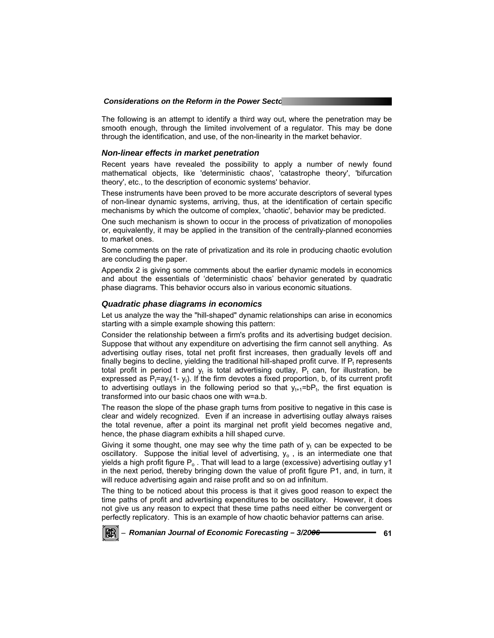The following is an attempt to identify a third way out, where the penetration may be smooth enough, through the limited involvement of a regulator. This may be done through the identification, and use, of the non-linearity in the market behavior.

#### *Non-linear effects in market penetration*

Recent years have revealed the possibility to apply a number of newly found mathematical objects, like 'deterministic chaos', 'catastrophe theory', 'bifurcation theory', etc., to the description of economic systems' behavior.

These instruments have been proved to be more accurate descriptors of several types of non-linear dynamic systems, arriving, thus, at the identification of certain specific mechanisms by which the outcome of complex, 'chaotic', behavior may be predicted.

One such mechanism is shown to occur in the process of privatization of monopolies or, equivalently, it may be applied in the transition of the centrally-planned economies to market ones.

Some comments on the rate of privatization and its role in producing chaotic evolution are concluding the paper.

Appendix 2 is giving some comments about the earlier dynamic models in economics and about the essentials of 'deterministic chaos' behavior generated by quadratic phase diagrams. This behavior occurs also in various economic situations.

#### *Quadratic phase diagrams in economics*

Let us analyze the way the "hill-shaped" dynamic relationships can arise in economics starting with a simple example showing this pattern:

Consider the relationship between a firm's profits and its advertising budget decision. Suppose that without any expenditure on advertising the firm cannot sell anything. As advertising outlay rises, total net profit first increases, then gradually levels off and finally begins to decline, yielding the traditional hill-shaped profit curve. If  $P<sub>f</sub>$  represents total profit in period t and  $y_t$  is total advertising outlay,  $P_t$  can, for illustration, be expressed as  $P_t = av_t(1 - y_t)$ . If the firm devotes a fixed proportion, b, of its current profit to advertising outlays in the following period so that  $y_{t+1}$ =bP<sub>t</sub>, the first equation is transformed into our basic chaos one with w=a.b.

The reason the slope of the phase graph turns from positive to negative in this case is clear and widely recognized. Even if an increase in advertising outlay always raises the total revenue, after a point its marginal net profit yield becomes negative and, hence, the phase diagram exhibits a hill shaped curve.

Giving it some thought, one may see why the time path of  $y_t$  can be expected to be oscillatory. Suppose the initial level of advertising,  $y_0$ , is an intermediate one that yields a high profit figure  $P_0$ . That will lead to a large (excessive) advertising outlay y1 in the next period, thereby bringing down the value of profit figure P1, and, in turn, it will reduce advertising again and raise profit and so on ad infinitum.

The thing to be noticed about this process is that it gives good reason to expect the time paths of profit and advertising expenditures to be oscillatory. However, it does not give us any reason to expect that these time paths need either be convergent or perfectly replicatory. This is an example of how chaotic behavior patterns can arise.

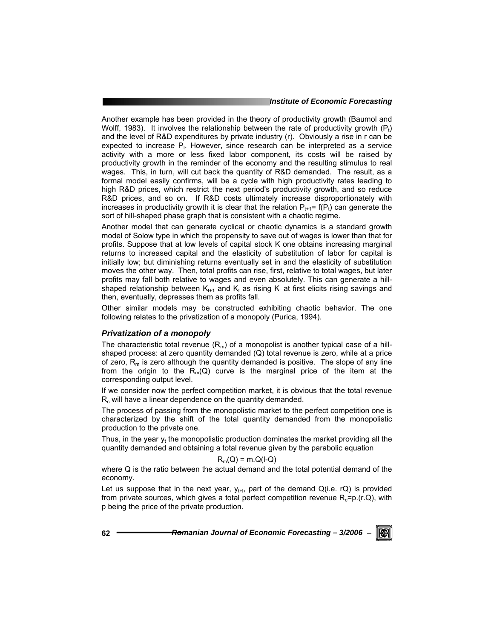#### *Institute of Economic Forecasting*

Another example has been provided in the theory of productivity growth (Baumol and Wolff, 1983). It involves the relationship between the rate of productivity growth  $(P<sub>t</sub>)$ and the level of R&D expenditures by private industry (r). Obviously a rise in r can be expected to increase  $P_t$ . However, since research can be interpreted as a service activity with a more or less fixed labor component, its costs will be raised by productivity growth in the reminder of the economy and the resulting stimulus to real wages. This, in turn, will cut back the quantity of R&D demanded. The result, as a formal model easily confirms, will be a cycle with high productivity rates leading to high R&D prices, which restrict the next period's productivity growth, and so reduce R&D prices, and so on. If R&D costs ultimately increase disproportionately with increases in productivity growth it is clear that the relation  $P_{t+1}$ = f( $P_t$ ) can generate the sort of hill-shaped phase graph that is consistent with a chaotic regime.

Another model that can generate cyclical or chaotic dynamics is a standard growth model of Solow type in which the propensity to save out of wages is lower than that for profits. Suppose that at low levels of capital stock K one obtains increasing marginal returns to increased capital and the elasticity of substitution of labor for capital is initially low; but diminishing returns eventually set in and the elasticity of substitution moves the other way. Then, total profits can rise, first, relative to total wages, but later profits may fall both relative to wages and even absolutely. This can generate a hillshaped relationship between  $K_{t+1}$  and  $K_t$  as rising  $K_t$  at first elicits rising savings and then, eventually, depresses them as profits fall.

Other similar models may be constructed exhibiting chaotic behavior. The one following relates to the privatization of a monopoly (Purica, 1994).

#### *Privatization of a monopoly*

The characteristic total revenue  $(R_m)$  of a monopolist is another typical case of a hillshaped process: at zero quantity demanded (Q) total revenue is zero, while at a price of zero,  $R_m$  is zero although the quantity demanded is positive. The slope of any line from the origin to the  $R_m(Q)$  curve is the marginal price of the item at the corresponding output level.

If we consider now the perfect competition market, it is obvious that the total revenue  $R<sub>c</sub>$  will have a linear dependence on the quantity demanded.

The process of passing from the monopolistic market to the perfect competition one is characterized by the shift of the total quantity demanded from the monopolistic production to the private one.

Thus, in the year  $y_t$  the monopolistic production dominates the market providing all the quantity demanded and obtaining a total revenue given by the parabolic equation

$$
R_m(Q) = m.Q(I-Q)
$$

where Q is the ratio between the actual demand and the total potential demand of the economy.

Let us suppose that in the next year,  $y_{t+1}$ , part of the demand  $Q(i.e. rQ)$  is provided from private sources, which gives a total perfect competition revenue  $R<sub>c</sub>=p.(r.Q)$ , with p being the price of the private production.

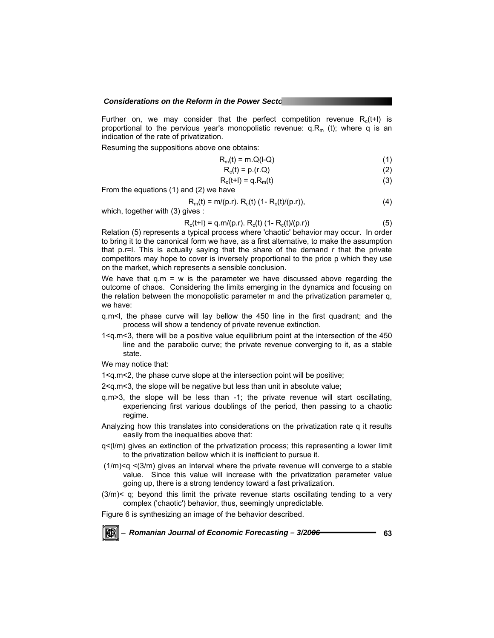Further on, we may consider that the perfect competition revenue  $R_c(t+1)$  is proportional to the pervious year's monopolistic revenue:  $q.R_m$  (t); where q is an indication of the rate of privatization.

Resuming the suppositions above one obtains:

$$
R_m(t) = m.Q(l-Q)
$$
 (1)

$$
R_c(t) = p.(r.Q)
$$
 (2)

$$
R_c(t+1) = q.R_m(t) \tag{3}
$$

From the equations (1) and (2) we have

$$
R_m(t) = m/(p.r). R_c(t) (1 - R_c(t)/(p.r)),
$$
 (4)

which, together with (3) gives :

$$
R_c(t+1) = q.m/(p.r). R_c(t) (1 - R_c(t)/(p.r))
$$
 (5)

Relation (5) represents a typical process where 'chaotic' behavior may occur. In order to bring it to the canonical form we have, as a first alternative, to make the assumption that p.r=l. This is actually saying that the share of the demand r that the private competitors may hope to cover is inversely proportional to the price p which they use on the market, which represents a sensible conclusion.

We have that  $q.m = w$  is the parameter we have discussed above regarding the outcome of chaos. Considering the limits emerging in the dynamics and focusing on the relation between the monopolistic parameter m and the privatization parameter q, we have:

- q.m<l, the phase curve will lay bellow the 450 line in the first quadrant; and the process will show a tendency of private revenue extinction.
- 1<q.m<3, there will be a positive value equilibrium point at the intersection of the 450 line and the parabolic curve; the private revenue converging to it, as a stable state.

We may notice that:

- 1<q.m<2, the phase curve slope at the intersection point will be positive;
- 2<q.m<3, the slope will be negative but less than unit in absolute value;
- q.m>3, the slope will be less than -1; the private revenue will start oscillating, experiencing first various doublings of the period, then passing to a chaotic regime.
- Analyzing how this translates into considerations on the privatization rate q it results easily from the inequalities above that:
- q<(l/m) gives an extinction of the privatization process; this representing a lower limit to the privatization bellow which it is inefficient to pursue it.
- $(1/m)$   $q$   $\leq$   $(3/m)$  gives an interval where the private revenue will converge to a stable value. Since this value will increase with the privatization parameter value going up, there is a strong tendency toward a fast privatization.
- $(3/m)$  q; beyond this limit the private revenue starts oscillating tending to a very complex ('chaotic') behavior, thus, seemingly unpredictable.

Figure 6 is synthesizing an image of the behavior described.

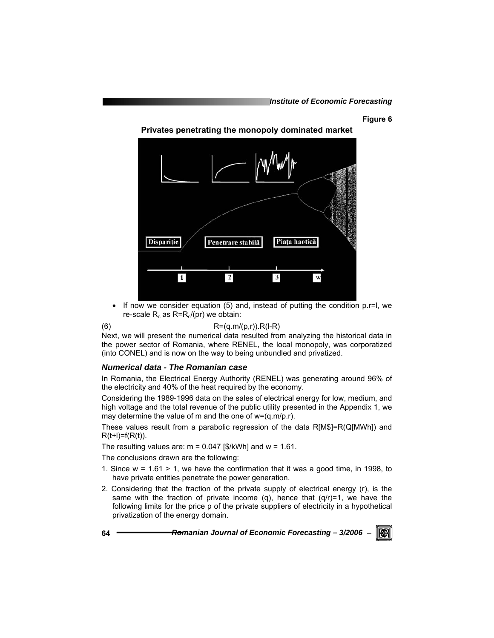### **Figure 6**

**Privates penetrating the monopoly dominated market** 



• If now we consider equation (5) and, instead of putting the condition p.r=l, we re-scale  $R_c$  as  $R = R_c/(pr)$  we obtain:

### (6)  $R=(q.m/(p,r)).R(l-R)$

Next, we will present the numerical data resulted from analyzing the historical data in the power sector of Romania, where RENEL, the local monopoly, was corporatized (into CONEL) and is now on the way to being unbundled and privatized.

## *Numerical data - The Romanian case*

In Romania, the Electrical Energy Authority (RENEL) was generating around 96% of the electricity and 40% of the heat required by the economy.

Considering the 1989-1996 data on the sales of electrical energy for low, medium, and high voltage and the total revenue of the public utility presented in the Appendix 1, we may determine the value of m and the one of w=(q.m/p.r).

These values result from a parabolic regression of the data R[M\$]=R(Q[MWh]) and  $R(t+1)=f(R(t)).$ 

The resulting values are:  $m = 0.047$  [\$/kWh] and  $w = 1.61$ .

The conclusions drawn are the following:

- 1. Since  $w = 1.61 > 1$ , we have the confirmation that it was a good time, in 1998, to have private entities penetrate the power generation.
- 2. Considering that the fraction of the private supply of electrical energy (r), is the same with the fraction of private income (q), hence that  $(q/r)=1$ , we have the following limits for the price p of the private suppliers of electricity in a hypothetical privatization of the energy domain.

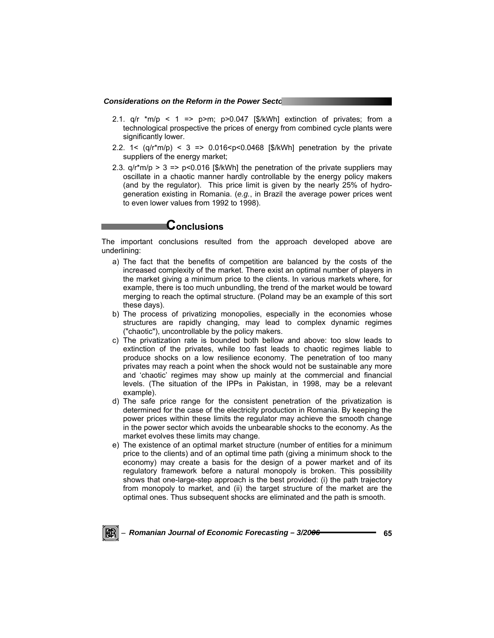#### **Considerations on the Reform in the Power Sector of Article 2017**

- 2.1.  $q/r$  \*m/p < 1 => p>m; p>0.047 [\$/kWh] extinction of privates; from a technological prospective the prices of energy from combined cycle plants were significantly lower.
- 2.2. 1<  $(q/r<sup>*</sup>m/p)$  < 3 = > 0.016<p>0.0468 [\$/kWh] penetration by the private suppliers of the energy market;
- 2.3.  $q/r^*m/p > 3 \Rightarrow p < 0.016$  [\$/kWh] the penetration of the private suppliers may oscillate in a chaotic manner hardly controllable by the energy policy makers (and by the regulator). This price limit is given by the nearly 25% of hydrogeneration existing in Romania. (*e.g.*, in Brazil the average power prices went to even lower values from 1992 to 1998).

## **Conclusions**

The important conclusions resulted from the approach developed above are underlining:

- a) The fact that the benefits of competition are balanced by the costs of the increased complexity of the market. There exist an optimal number of players in the market giving a minimum price to the clients. In various markets where, for example, there is too much unbundling, the trend of the market would be toward merging to reach the optimal structure. (Poland may be an example of this sort these days).
- b) The process of privatizing monopolies, especially in the economies whose structures are rapidly changing, may lead to complex dynamic regimes ("chaotic"), uncontrollable by the policy makers.
- c) The privatization rate is bounded both bellow and above: too slow leads to extinction of the privates, while too fast leads to chaotic regimes liable to produce shocks on a low resilience economy. The penetration of too many privates may reach a point when the shock would not be sustainable any more and 'chaotic' regimes may show up mainly at the commercial and financial levels. (The situation of the IPPs in Pakistan, in 1998, may be a relevant example).
- d) The safe price range for the consistent penetration of the privatization is determined for the case of the electricity production in Romania. By keeping the power prices within these limits the regulator may achieve the smooth change in the power sector which avoids the unbearable shocks to the economy. As the market evolves these limits may change.
- e) The existence of an optimal market structure (number of entities for a minimum price to the clients) and of an optimal time path (giving a minimum shock to the economy) may create a basis for the design of a power market and of its regulatory framework before a natural monopoly is broken. This possibility shows that one-large-step approach is the best provided: (i) the path trajectory from monopoly to market, and (ii) the target structure of the market are the optimal ones. Thus subsequent shocks are eliminated and the path is smooth.

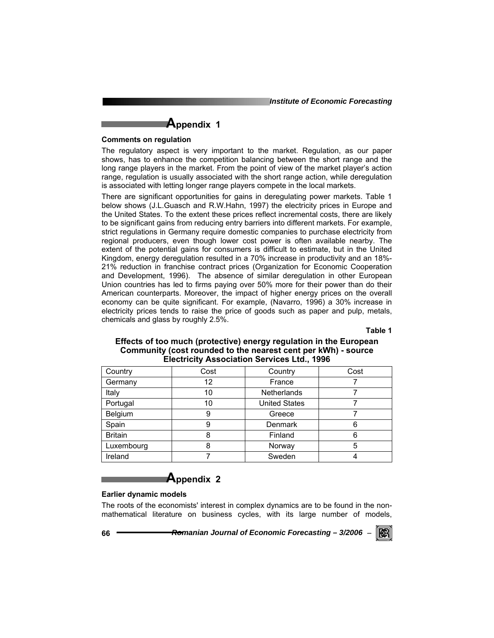*Institute of Economic Forecasting*

## **Appendix 1**

### **Comments on regulation**

The regulatory aspect is very important to the market. Regulation, as our paper shows, has to enhance the competition balancing between the short range and the long range players in the market. From the point of view of the market player's action range, regulation is usually associated with the short range action, while deregulation is associated with letting longer range players compete in the local markets.

There are significant opportunities for gains in deregulating power markets. Table 1 below shows (J.L.Guasch and R.W.Hahn, 1997) the electricity prices in Europe and the United States. To the extent these prices reflect incremental costs, there are likely to be significant gains from reducing entry barriers into different markets. For example, strict regulations in Germany require domestic companies to purchase electricity from regional producers, even though lower cost power is often available nearby. The extent of the potential gains for consumers is difficult to estimate, but in the United Kingdom, energy deregulation resulted in a 70% increase in productivity and an 18%- 21% reduction in franchise contract prices (Organization for Economic Cooperation and Development, 1996). The absence of similar deregulation in other European Union countries has led to firms paying over 50% more for their power than do their American counterparts. Moreover, the impact of higher energy prices on the overall economy can be quite significant. For example, (Navarro, 1996) a 30% increase in electricity prices tends to raise the price of goods such as paper and pulp, metals, chemicals and glass by roughly 2.5%.

#### **Table 1**

| Electricity Association Services Etu., 1990 |      |                      |  |  |
|---------------------------------------------|------|----------------------|--|--|
| Country                                     | Cost | Country<br>Cost      |  |  |
| Germany                                     | 12   | France               |  |  |
| Italy                                       | 10   | <b>Netherlands</b>   |  |  |
| Portugal                                    | 10   | <b>United States</b> |  |  |
| Belgium                                     | 9    | Greece               |  |  |
| Spain                                       | 9    | Denmark              |  |  |
| <b>Britain</b>                              | 8    | Finland              |  |  |
| Luxembourg                                  | 8    | Norway               |  |  |
| Ireland                                     |      | Sweden               |  |  |

## **Effects of too much (protective) energy regulation in the European Community (cost rounded to the nearest cent per kWh) - source Electricity Association Services Ltd., 1996**

## **Appendix 2**

## **Earlier dynamic models**

The roots of the economists' interest in complex dynamics are to be found in the nonmathematical literature on business cycles, with its large number of models,

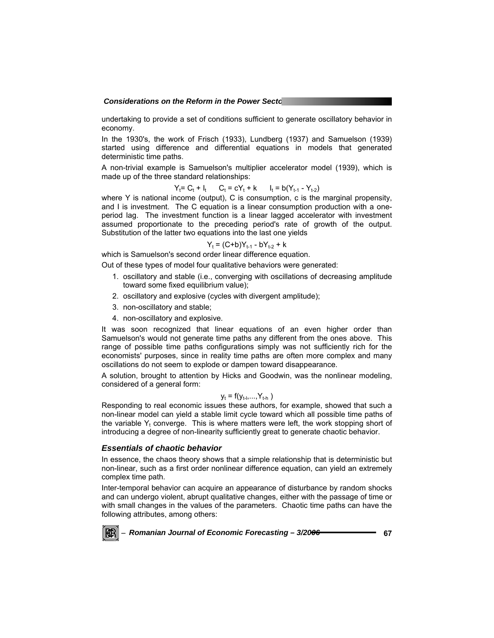undertaking to provide a set of conditions sufficient to generate oscillatory behavior in economy.

In the 1930's, the work of Frisch (1933), Lundberg (1937) and Samuelson (1939) started using difference and differential equations in models that generated deterministic time paths.

A non-trivial example is Samuelson's multiplier accelerator model (1939), which is made up of the three standard relationships:

 $Y_t = C_t + I_t$   $C_t = cY_t + k$   $I_t = b(Y_{t-1} - Y_{t-2})$ 

where Y is national income (output), C is consumption, c is the marginal propensity, and I is investment. The C equation is a linear consumption production with a oneperiod lag. The investment function is a linear lagged accelerator with investment assumed proportionate to the preceding period's rate of growth of the output. Substitution of the latter two equations into the last one yields

$$
Y_t = (C + b)Y_{t-1} - bY_{t-2} + k
$$

which is Samuelson's second order linear difference equation.

Out of these types of model four qualitative behaviors were generated:

- 1. oscillatory and stable (i.e., converging with oscillations of decreasing amplitude toward some fixed equilibrium value);
- 2. oscillatory and explosive (cycles with divergent amplitude);
- 3. non-oscillatory and stable;
- 4. non-oscillatory and explosive.

It was soon recognized that linear equations of an even higher order than Samuelson's would not generate time paths any different from the ones above. This range of possible time paths configurations simply was not sufficiently rich for the economists' purposes, since in reality time paths are often more complex and many oscillations do not seem to explode or dampen toward disappearance.

A solution, brought to attention by Hicks and Goodwin, was the nonlinear modeling, considered of a general form:

$$
y_t = f(y_{t-l},...,Y_{t-h})
$$

Responding to real economic issues these authors, for example, showed that such a non-linear model can yield a stable limit cycle toward which all possible time paths of the variable  $Y_t$  converge. This is where matters were left, the work stopping short of introducing a degree of non-linearity sufficiently great to generate chaotic behavior.

### *Essentials of chaotic behavior*

In essence, the chaos theory shows that a simple relationship that is deterministic but non-linear, such as a first order nonlinear difference equation, can yield an extremely complex time path.

Inter-temporal behavior can acquire an appearance of disturbance by random shocks and can undergo violent, abrupt qualitative changes, either with the passage of time or with small changes in the values of the parameters. Chaotic time paths can have the following attributes, among others:

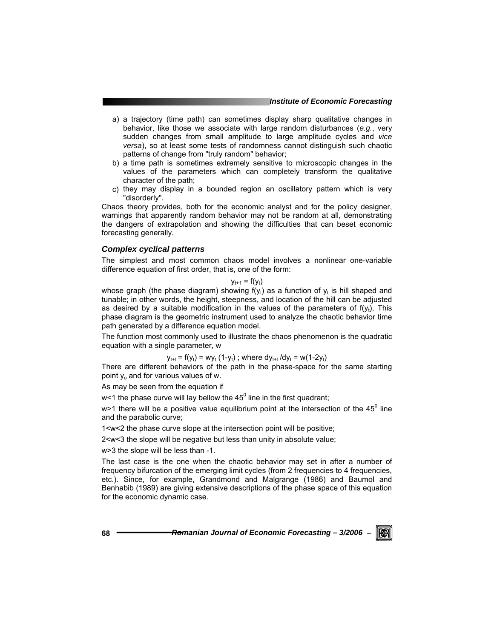- a) a trajectory (time path) can sometimes display sharp qualitative changes in behavior, like those we associate with large random disturbances (*e.g.*, very sudden changes from small amplitude to large amplitude cycles and *vice versa*), so at least some tests of randomness cannot distinguish such chaotic patterns of change from "truly random" behavior;
- b) a time path is sometimes extremely sensitive to microscopic changes in the values of the parameters which can completely transform the qualitative character of the path;
- c) they may display in a bounded region an oscillatory pattern which is very "disorderly".

Chaos theory provides, both for the economic analyst and for the policy designer, warnings that apparently random behavior may not be random at all, demonstrating the dangers of extrapolation and showing the difficulties that can beset economic forecasting generally.

#### *Complex cyclical patterns*

The simplest and most common chaos model involves a nonlinear one-variable difference equation of first order, that is, one of the form:

#### $y_{t+1} = f(y_t)$

whose graph (the phase diagram) showing  $f(y_t)$  as a function of  $y_t$  is hill shaped and tunable; in other words, the height, steepness, and location of the hill can be adjusted as desired by a suitable modification in the values of the parameters of  $f(y_t)$ . This phase diagram is the geometric instrument used to analyze the chaotic behavior time path generated by a difference equation model.

The function most commonly used to illustrate the chaos phenomenon is the quadratic equation with a single parameter, w

$$
y_{t+1} = f(y_t) = wy_t (1-y_t)
$$
; where  $dy_{t+1}/dy_t = w(1-2y_t)$ 

There are different behaviors of the path in the phase-space for the same starting point  $y_0$  and for various values of w.

As may be seen from the equation if

w<1 the phase curve will lay bellow the 45<sup>0</sup> line in the first quadrant;

w>1 there will be a positive value equilibrium point at the intersection of the 45<sup>0</sup> line and the parabolic curve;

1<w<2 the phase curve slope at the intersection point will be positive;

2<w<3 the slope will be negative but less than unity in absolute value;

w>3 the slope will be less than -1.

The last case is the one when the chaotic behavior may set in after a number of frequency bifurcation of the emerging limit cycles (from 2 frequencies to 4 frequencies, etc.). Since, for example, Grandmond and Malgrange (1986) and Baumol and Benhabib (1989) are giving extensive descriptions of the phase space of this equation for the economic dynamic case.

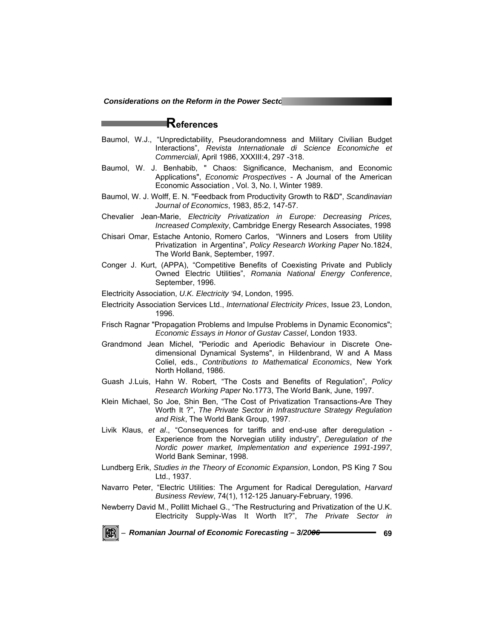## **References**

- Baumol, W.J., "Unpredictability, Pseudorandomness and Military Civilian Budget Interactions", *Revista Internationale di Science Economiche et Commerciali*, April 1986, XXXIII:4, 297 -318.
- Baumol, W. J. Benhabib, " Chaos: Significance, Mechanism, and Economic Applications", *Economic Prospectives* - A Journal of the American Economic Association , Vol. 3, No. l, Winter 1989.
- Baumol, W. J. Wolff, E. N. "Feedback from Productivity Growth to R&D", *Scandinavian Journal of Economics*, 1983, 85:2, 147-57.
- Chevalier Jean-Marie, *Electricity Privatization in Europe: Decreasing Prices, Increased Complexity*, Cambridge Energy Research Associates, 1998
- Chisari Omar, Estache Antonio, Romero Carlos, "Winners and Losers from Utility Privatization in Argentina", *Policy Research Working Paper* No.1824, The World Bank, September, 1997.
- Conger J. Kurt, (APPA), "Competitive Benefits of Coexisting Private and Publicly Owned Electric Utilities", *Romania National Energy Conference*, September, 1996.
- Electricity Association, *U.K. Electricity '94*, London, 1995.
- Electricity Association Services Ltd., *International Electricity Prices*, Issue 23, London, 1996.
- Frisch Ragnar "Propagation Problems and Impulse Problems in Dynamic Economics"; *Economic Essays in Honor of Gustav Cassel*, London 1933.
- Grandmond Jean Michel, "Periodic and Aperiodic Behaviour in Discrete Onedimensional Dynamical Systems", in Hildenbrand, W and A Mass Coliel, eds., *Contributions to Mathematical Economics*, New York North Holland, 1986.
- Guash J.Luis, Hahn W. Robert, "The Costs and Benefits of Regulation", *Policy Research Working Paper* No.1773, The World Bank, June, 1997.
- Klein Michael, So Joe, Shin Ben, "The Cost of Privatization Transactions-Are They Worth It ?", *The Private Sector in Infrastructure Strategy Regulation and Risk*, The World Bank Group, 1997.
- Livik Klaus, *et al*., "Consequences for tariffs and end-use after deregulation Experience from the Norvegian utility industry", *Deregulation of the Nordic power market, Implementation and experience 1991-1997*, World Bank Seminar, 1998.
- Lundberg Erik, *Studies in the Theory of Economic Expansion*, London, PS King 7 Sou Ltd., 1937.
- Navarro Peter, "Electric Utilities: The Argument for Radical Deregulation, *Harvard Business Review*, 74(1), 112-125 January-February, 1996.
- Newberry David M., Pollitt Michael G., "The Restructuring and Privatization of the U.K. Electricity Supply-Was It Worth It?", *The Private Sector in*